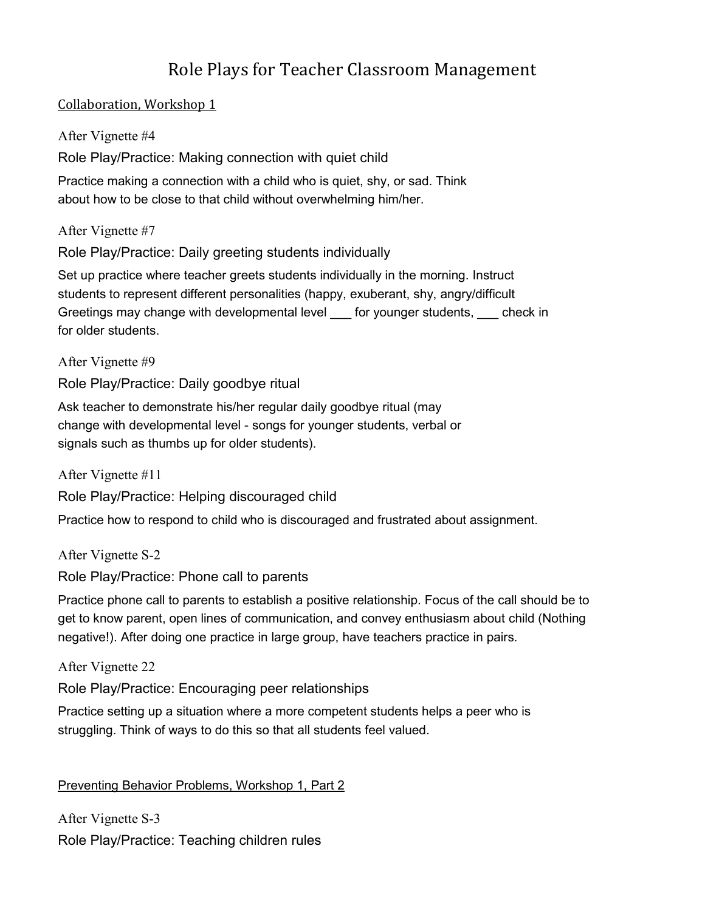# Role Plays for Teacher Classroom Management

### Collaboration, Workshop 1

After Vignette #4

Role Play/Practice: Making connection with quiet child

Practice making a connection with a child who is quiet, shy, or sad. Think about how to be close to that child without overwhelming him/her.

After Vignette #7

Role Play/Practice: Daily greeting students individually

Set up practice where teacher greets students individually in the morning. Instruct students to represent different personalities (happy, exuberant, shy, angry/difficult Greetings may change with developmental level \_\_\_ for younger students, \_\_\_ check in for older students.

After Vignette #9

Role Play/Practice: Daily goodbye ritual

Ask teacher to demonstrate his/her regular daily goodbye ritual (may change with developmental level - songs for younger students, verbal or signals such as thumbs up for older students).

After Vignette #11

Role Play/Practice: Helping discouraged child

Practice how to respond to child who is discouraged and frustrated about assignment.

After Vignette S-2 Role Play/Practice: Phone call to parents

Practice phone call to parents to establish a positive relationship. Focus of the call should be to get to know parent, open lines of communication, and convey enthusiasm about child (Nothing negative!). After doing one practice in large group, have teachers practice in pairs.

After Vignette 22

Role Play/Practice: Encouraging peer relationships

Practice setting up a situation where a more competent students helps a peer who is struggling. Think of ways to do this so that all students feel valued.

# Preventing Behavior Problems, Workshop 1, Part 2

After Vignette S-3 Role Play/Practice: Teaching children rules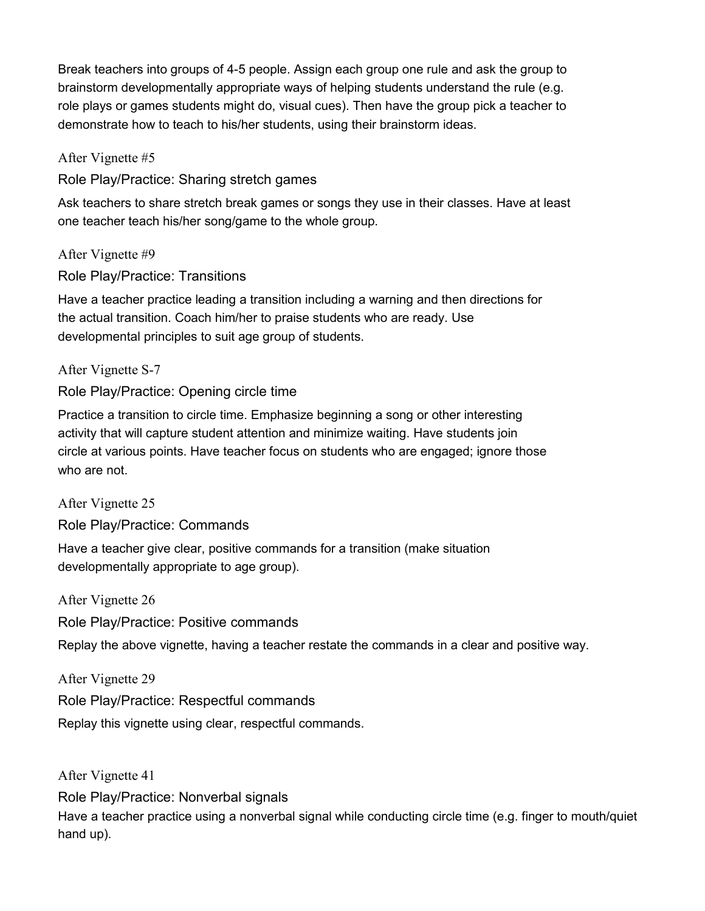Break teachers into groups of 4-5 people. Assign each group one rule and ask the group to brainstorm developmentally appropriate ways of helping students understand the rule (e.g. role plays or games students might do, visual cues). Then have the group pick a teacher to demonstrate how to teach to his/her students, using their brainstorm ideas.

After Vignette #5

Role Play/Practice: Sharing stretch games

Ask teachers to share stretch break games or songs they use in their classes. Have at least one teacher teach his/her song/game to the whole group.

After Vignette #9

Role Play/Practice: Transitions

Have a teacher practice leading a transition including a warning and then directions for the actual transition. Coach him/her to praise students who are ready. Use developmental principles to suit age group of students.

After Vignette S-7

Role Play/Practice: Opening circle time

Practice a transition to circle time. Emphasize beginning a song or other interesting activity that will capture student attention and minimize waiting. Have students join circle at various points. Have teacher focus on students who are engaged; ignore those who are not.

After Vignette 25 Role Play/Practice: Commands

Have a teacher give clear, positive commands for a transition (make situation developmentally appropriate to age group).

After Vignette 26 Role Play/Practice: Positive commands Replay the above vignette, having a teacher restate the commands in a clear and positive way.

After Vignette 29 Role Play/Practice: Respectful commands Replay this vignette using clear, respectful commands.

After Vignette 41

Role Play/Practice: Nonverbal signals

Have a teacher practice using a nonverbal signal while conducting circle time (e.g. finger to mouth/quiet hand up).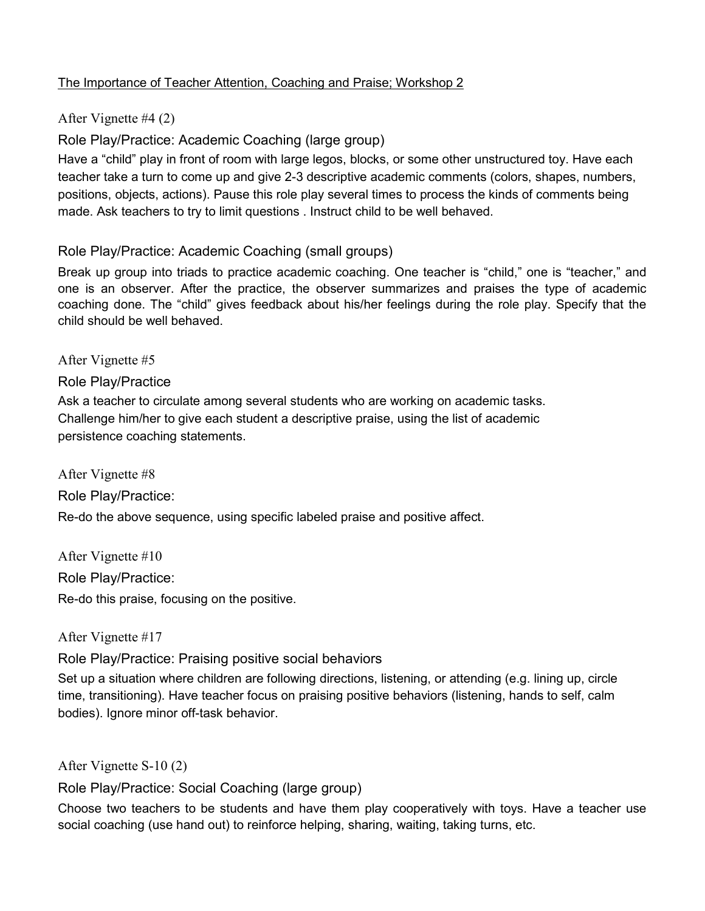### The Importance of Teacher Attention, Coaching and Praise; Workshop 2

### After Vignette #4 (2)

Role Play/Practice: Academic Coaching (large group)

Have a "child" play in front of room with large legos, blocks, or some other unstructured toy. Have each teacher take a turn to come up and give 2-3 descriptive academic comments (colors, shapes, numbers, positions, objects, actions). Pause this role play several times to process the kinds of comments being made. Ask teachers to try to limit questions . Instruct child to be well behaved.

### Role Play/Practice: Academic Coaching (small groups)

Break up group into triads to practice academic coaching. One teacher is "child," one is "teacher," and one is an observer. After the practice, the observer summarizes and praises the type of academic coaching done. The "child" gives feedback about his/her feelings during the role play. Specify that the child should be well behaved.

After Vignette #5

#### Role Play/Practice

Ask a teacher to circulate among several students who are working on academic tasks. Challenge him/her to give each student a descriptive praise, using the list of academic persistence coaching statements.

After Vignette #8

Role Play/Practice:

Re-do the above sequence, using specific labeled praise and positive affect.

After Vignette #10 Role Play/Practice: Re-do this praise, focusing on the positive.

#### After Vignette #17

Role Play/Practice: Praising positive social behaviors

Set up a situation where children are following directions, listening, or attending (e.g. lining up, circle time, transitioning). Have teacher focus on praising positive behaviors (listening, hands to self, calm bodies). Ignore minor off-task behavior.

After Vignette S-10 (2)

Role Play/Practice: Social Coaching (large group)

Choose two teachers to be students and have them play cooperatively with toys. Have a teacher use social coaching (use hand out) to reinforce helping, sharing, waiting, taking turns, etc.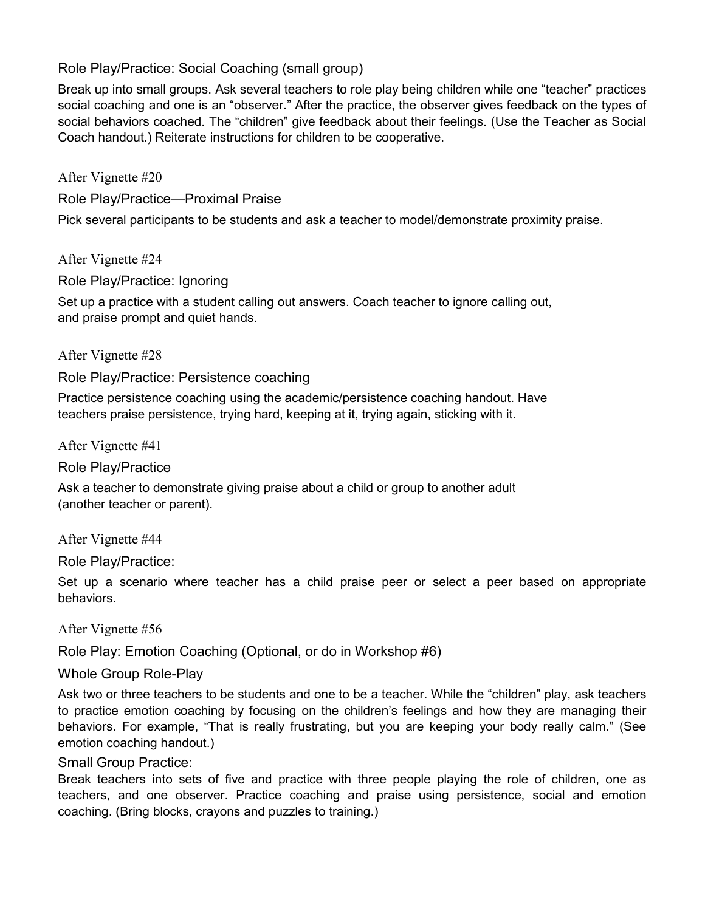Role Play/Practice: Social Coaching (small group)

Break up into small groups. Ask several teachers to role play being children while one "teacher" practices social coaching and one is an "observer." After the practice, the observer gives feedback on the types of social behaviors coached. The "children" give feedback about their feelings. (Use the Teacher as Social Coach handout.) Reiterate instructions for children to be cooperative.

After Vignette #20

Role Play/Practice—Proximal Praise

Pick several participants to be students and ask a teacher to model/demonstrate proximity praise.

After Vignette #24

Role Play/Practice: Ignoring

Set up a practice with a student calling out answers. Coach teacher to ignore calling out, and praise prompt and quiet hands.

After Vignette #28

Role Play/Practice: Persistence coaching

Practice persistence coaching using the academic/persistence coaching handout. Have teachers praise persistence, trying hard, keeping at it, trying again, sticking with it.

After Vignette #41

Role Play/Practice

Ask a teacher to demonstrate giving praise about a child or group to another adult (another teacher or parent).

After Vignette #44

Role Play/Practice:

Set up a scenario where teacher has a child praise peer or select a peer based on appropriate behaviors.

After Vignette #56

Role Play: Emotion Coaching (Optional, or do in Workshop #6)

Whole Group Role-Play

Ask two or three teachers to be students and one to be a teacher. While the "children" play, ask teachers to practice emotion coaching by focusing on the children's feelings and how they are managing their behaviors. For example, "That is really frustrating, but you are keeping your body really calm." (See emotion coaching handout.)

### Small Group Practice:

Break teachers into sets of five and practice with three people playing the role of children, one as teachers, and one observer. Practice coaching and praise using persistence, social and emotion coaching. (Bring blocks, crayons and puzzles to training.)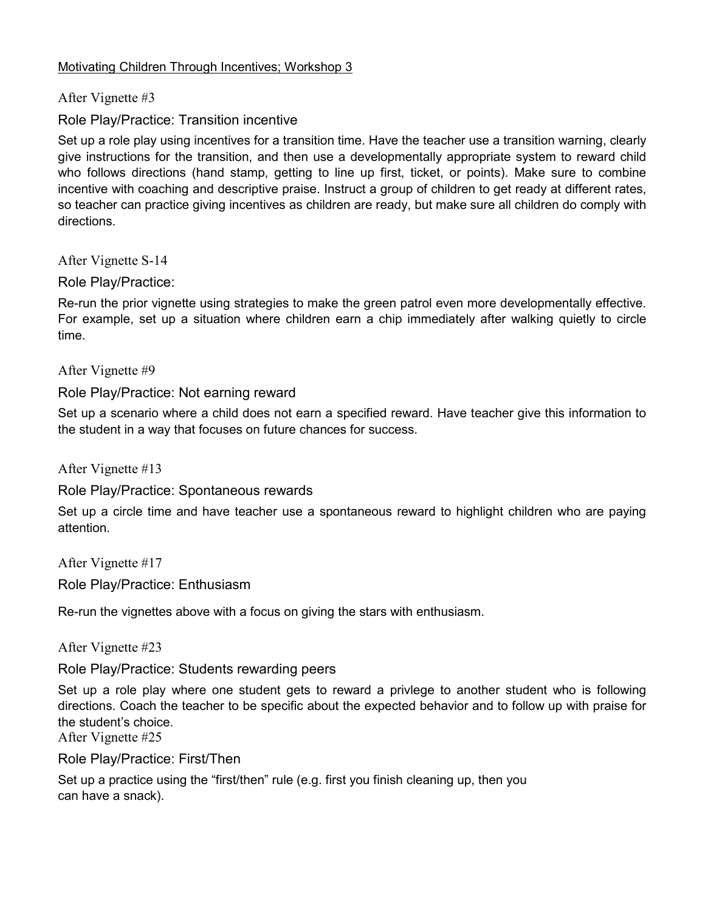#### Motivating Children Through Incentives; Workshop 3

After Vignette #3

### Role Play/Practice: Transition incentive

Set up a role play using incentives for a transition time. Have the teacher use a transition warning, clearly give instructions for the transition, and then use a developmentally appropriate system to reward child who follows directions (hand stamp, getting to line up first, ticket, or points). Make sure to combine incentive with coaching and descriptive praise. Instruct a group of children to get ready at different rates, so teacher can practice giving incentives as children are ready, but make sure all children do comply with directions.

After Vignette S-14

Role Play/Practice:

Re-run the prior vignette using strategies to make the green patrol even more developmentally effective. For example, set up a situation where children earn a chip immediately after walking quietly to circle time.

After Vignette #9

### Role Play/Practice: Not earning reward

Set up a scenario where a child does not earn a specified reward. Have teacher give this information to the student in a way that focuses on future chances for success.

After Vignette #13

Role Play/Practice: Spontaneous rewards

Set up a circle time and have teacher use a spontaneous reward to highlight children who are paying attention.

After Vignette #17 Role Play/Practice: Enthusiasm

Re-run the vignettes above with a focus on giving the stars with enthusiasm.

After Vignette #23

Role Play/Practice: Students rewarding peers

Set up a role play where one student gets to reward a privlege to another student who is following directions. Coach the teacher to be specific about the expected behavior and to follow up with praise for the student's choice.

After Vignette #25

Role Play/Practice: First/Then

Set up a practice using the "first/then" rule (e.g. first you finish cleaning up, then you can have a snack).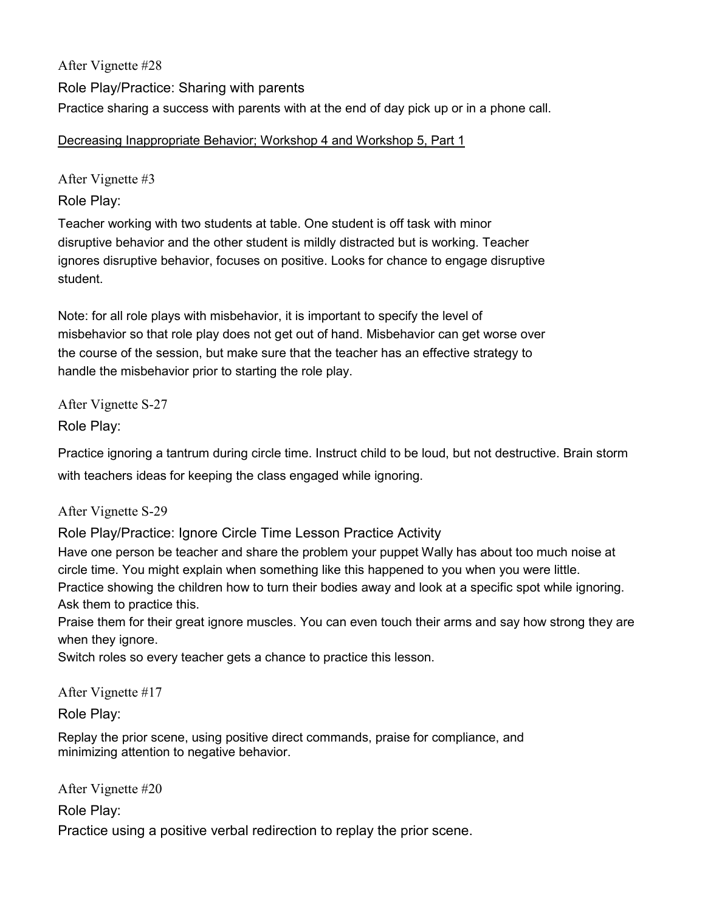After Vignette #28 Role Play/Practice: Sharing with parents Practice sharing a success with parents with at the end of day pick up or in a phone call.

Decreasing Inappropriate Behavior; Workshop 4 and Workshop 5, Part 1

After Vignette #3

Role Play:

Teacher working with two students at table. One student is off task with minor disruptive behavior and the other student is mildly distracted but is working. Teacher ignores disruptive behavior, focuses on positive. Looks for chance to engage disruptive student.

Note: for all role plays with misbehavior, it is important to specify the level of misbehavior so that role play does not get out of hand. Misbehavior can get worse over the course of the session, but make sure that the teacher has an effective strategy to handle the misbehavior prior to starting the role play.

After Vignette S-27

Role Play:

Practice ignoring a tantrum during circle time. Instruct child to be loud, but not destructive. Brain storm with teachers ideas for keeping the class engaged while ignoring.

After Vignette S-29

Role Play/Practice: Ignore Circle Time Lesson Practice Activity

Have one person be teacher and share the problem your puppet Wally has about too much noise at circle time. You might explain when something like this happened to you when you were little.

Practice showing the children how to turn their bodies away and look at a specific spot while ignoring. Ask them to practice this.

Praise them for their great ignore muscles. You can even touch their arms and say how strong they are when they ignore.

Switch roles so every teacher gets a chance to practice this lesson.

After Vignette #17

Role Play:

Replay the prior scene, using positive direct commands, praise for compliance, and minimizing attention to negative behavior.

After Vignette #20

Role Play:

Practice using a positive verbal redirection to replay the prior scene.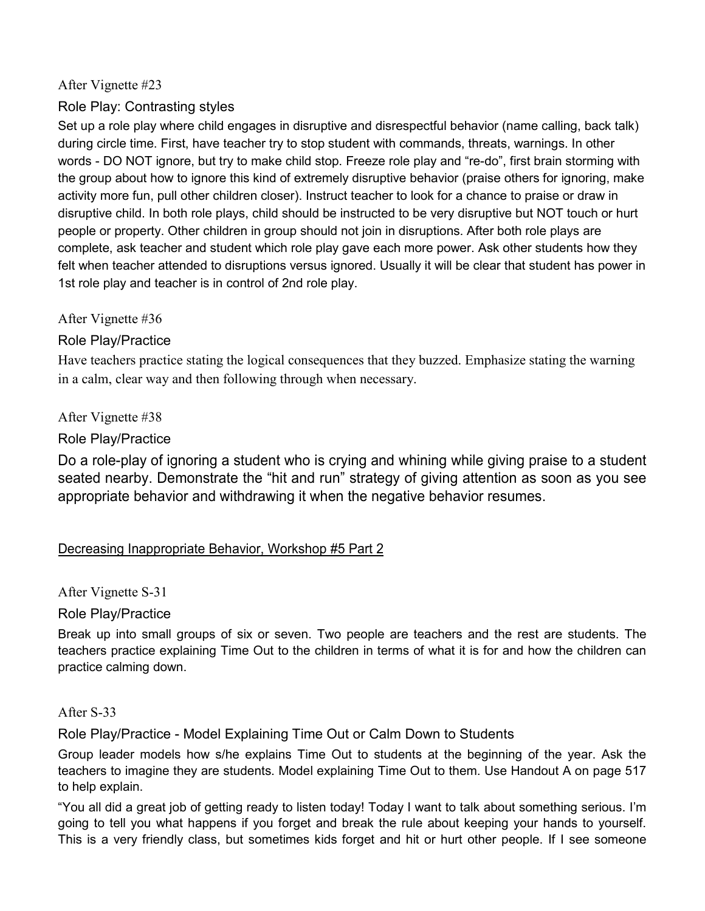### After Vignette #23

# Role Play: Contrasting styles

Set up a role play where child engages in disruptive and disrespectful behavior (name calling, back talk) during circle time. First, have teacher try to stop student with commands, threats, warnings. In other words - DO NOT ignore, but try to make child stop. Freeze role play and "re-do", first brain storming with the group about how to ignore this kind of extremely disruptive behavior (praise others for ignoring, make activity more fun, pull other children closer). Instruct teacher to look for a chance to praise or draw in disruptive child. In both role plays, child should be instructed to be very disruptive but NOT touch or hurt people or property. Other children in group should not join in disruptions. After both role plays are complete, ask teacher and student which role play gave each more power. Ask other students how they felt when teacher attended to disruptions versus ignored. Usually it will be clear that student has power in 1st role play and teacher is in control of 2nd role play.

After Vignette #36

# Role Play/Practice

Have teachers practice stating the logical consequences that they buzzed. Emphasize stating the warning in a calm, clear way and then following through when necessary.

After Vignette #38

Role Play/Practice

Do a role-play of ignoring a student who is crying and whining while giving praise to a student seated nearby. Demonstrate the "hit and run" strategy of giving attention as soon as you see appropriate behavior and withdrawing it when the negative behavior resumes.

# Decreasing Inappropriate Behavior, Workshop #5 Part 2

After Vignette S-31

Role Play/Practice

Break up into small groups of six or seven. Two people are teachers and the rest are students. The teachers practice explaining Time Out to the children in terms of what it is for and how the children can practice calming down.

### After S-33

Role Play/Practice - Model Explaining Time Out or Calm Down to Students

Group leader models how s/he explains Time Out to students at the beginning of the year. Ask the teachers to imagine they are students. Model explaining Time Out to them. Use Handout A on page 517 to help explain.

"You all did a great job of getting ready to listen today! Today I want to talk about something serious. I'm going to tell you what happens if you forget and break the rule about keeping your hands to yourself. This is a very friendly class, but sometimes kids forget and hit or hurt other people. If I see someone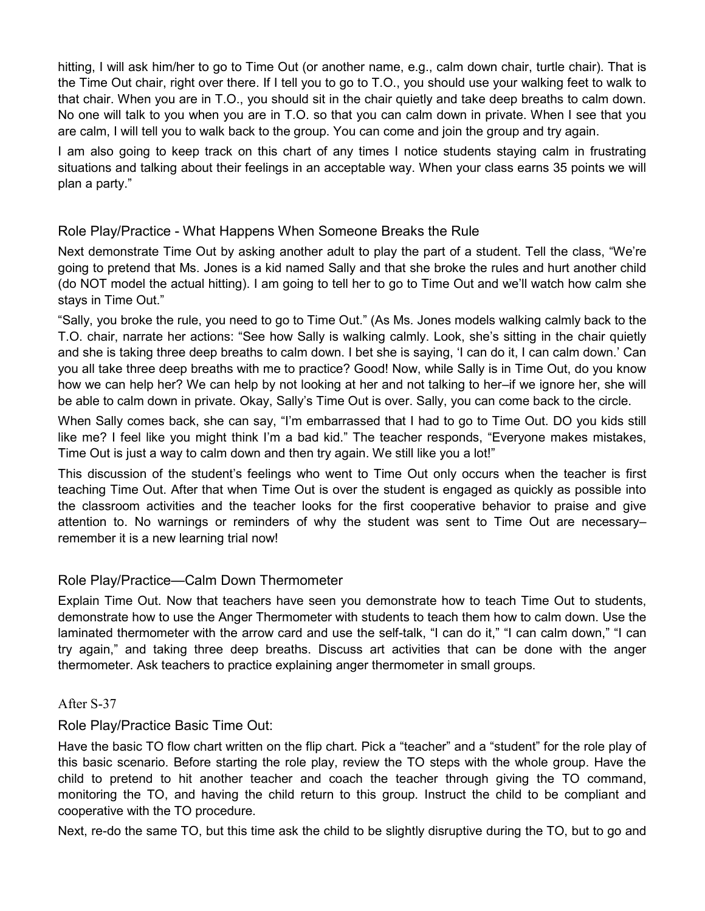hitting, I will ask him/her to go to Time Out (or another name, e.g., calm down chair, turtle chair). That is the Time Out chair, right over there. If I tell you to go to T.O., you should use your walking feet to walk to that chair. When you are in T.O., you should sit in the chair quietly and take deep breaths to calm down. No one will talk to you when you are in T.O. so that you can calm down in private. When I see that you are calm, I will tell you to walk back to the group. You can come and join the group and try again.

I am also going to keep track on this chart of any times I notice students staying calm in frustrating situations and talking about their feelings in an acceptable way. When your class earns 35 points we will plan a party."

### Role Play/Practice - What Happens When Someone Breaks the Rule

Next demonstrate Time Out by asking another adult to play the part of a student. Tell the class, "We're going to pretend that Ms. Jones is a kid named Sally and that she broke the rules and hurt another child (do NOT model the actual hitting). I am going to tell her to go to Time Out and we'll watch how calm she stays in Time Out."

"Sally, you broke the rule, you need to go to Time Out." (As Ms. Jones models walking calmly back to the T.O. chair, narrate her actions: "See how Sally is walking calmly. Look, she's sitting in the chair quietly and she is taking three deep breaths to calm down. I bet she is saying, 'I can do it, I can calm down.' Can you all take three deep breaths with me to practice? Good! Now, while Sally is in Time Out, do you know how we can help her? We can help by not looking at her and not talking to her–if we ignore her, she will be able to calm down in private. Okay, Sally's Time Out is over. Sally, you can come back to the circle.

When Sally comes back, she can say, "I'm embarrassed that I had to go to Time Out. DO you kids still like me? I feel like you might think I'm a bad kid." The teacher responds, "Everyone makes mistakes, Time Out is just a way to calm down and then try again. We still like you a lot!"

This discussion of the student's feelings who went to Time Out only occurs when the teacher is first teaching Time Out. After that when Time Out is over the student is engaged as quickly as possible into the classroom activities and the teacher looks for the first cooperative behavior to praise and give attention to. No warnings or reminders of why the student was sent to Time Out are necessary– remember it is a new learning trial now!

### Role Play/Practice—Calm Down Thermometer

Explain Time Out. Now that teachers have seen you demonstrate how to teach Time Out to students, demonstrate how to use the Anger Thermometer with students to teach them how to calm down. Use the laminated thermometer with the arrow card and use the self-talk, "I can do it," "I can calm down," "I can try again," and taking three deep breaths. Discuss art activities that can be done with the anger thermometer. Ask teachers to practice explaining anger thermometer in small groups.

### After S-37

### Role Play/Practice Basic Time Out:

Have the basic TO flow chart written on the flip chart. Pick a "teacher" and a "student" for the role play of this basic scenario. Before starting the role play, review the TO steps with the whole group. Have the child to pretend to hit another teacher and coach the teacher through giving the TO command, monitoring the TO, and having the child return to this group. Instruct the child to be compliant and cooperative with the TO procedure.

Next, re-do the same TO, but this time ask the child to be slightly disruptive during the TO, but to go and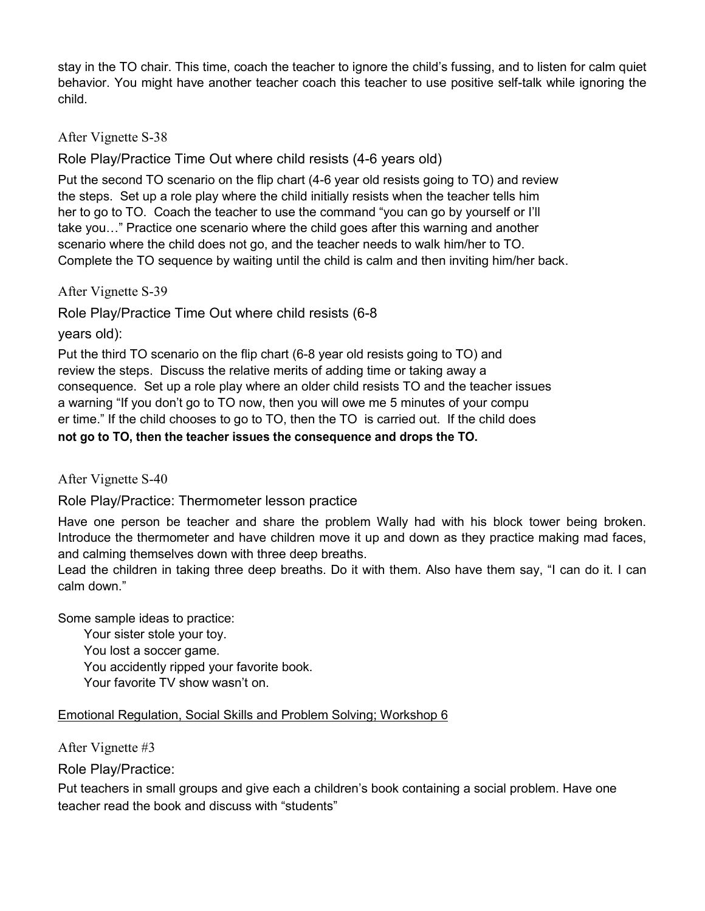stay in the TO chair. This time, coach the teacher to ignore the child's fussing, and to listen for calm quiet behavior. You might have another teacher coach this teacher to use positive self-talk while ignoring the child.

After Vignette S-38

Role Play/Practice Time Out where child resists (4-6 years old)

Put the second TO scenario on the flip chart (4-6 year old resists going to TO) and review the steps. Set up a role play where the child initially resists when the teacher tells him her to go to TO. Coach the teacher to use the command "you can go by yourself or I'll take you…" Practice one scenario where the child goes after this warning and another scenario where the child does not go, and the teacher needs to walk him/her to TO. Complete the TO sequence by waiting until the child is calm and then inviting him/her back.

After Vignette S-39

Role Play/Practice Time Out where child resists (6-8

years old):

Put the third TO scenario on the flip chart (6-8 year old resists going to TO) and review the steps. Discuss the relative merits of adding time or taking away a consequence. Set up a role play where an older child resists TO and the teacher issues a warning "If you don't go to TO now, then you will owe me 5 minutes of your compu er time." If the child chooses to go to TO, then the TO is carried out. If the child does **not go to TO, then the teacher issues the consequence and drops the TO.**

After Vignette S-40

Role Play/Practice: Thermometer lesson practice

Have one person be teacher and share the problem Wally had with his block tower being broken. Introduce the thermometer and have children move it up and down as they practice making mad faces, and calming themselves down with three deep breaths.

Lead the children in taking three deep breaths. Do it with them. Also have them say, "I can do it. I can calm down."

Some sample ideas to practice:

Your sister stole your toy. You lost a soccer game.

You accidently ripped your favorite book.

Your favorite TV show wasn't on.

# Emotional Regulation, Social Skills and Problem Solving; Workshop 6

After Vignette #3

Role Play/Practice:

Put teachers in small groups and give each a children's book containing a social problem. Have one teacher read the book and discuss with "students"